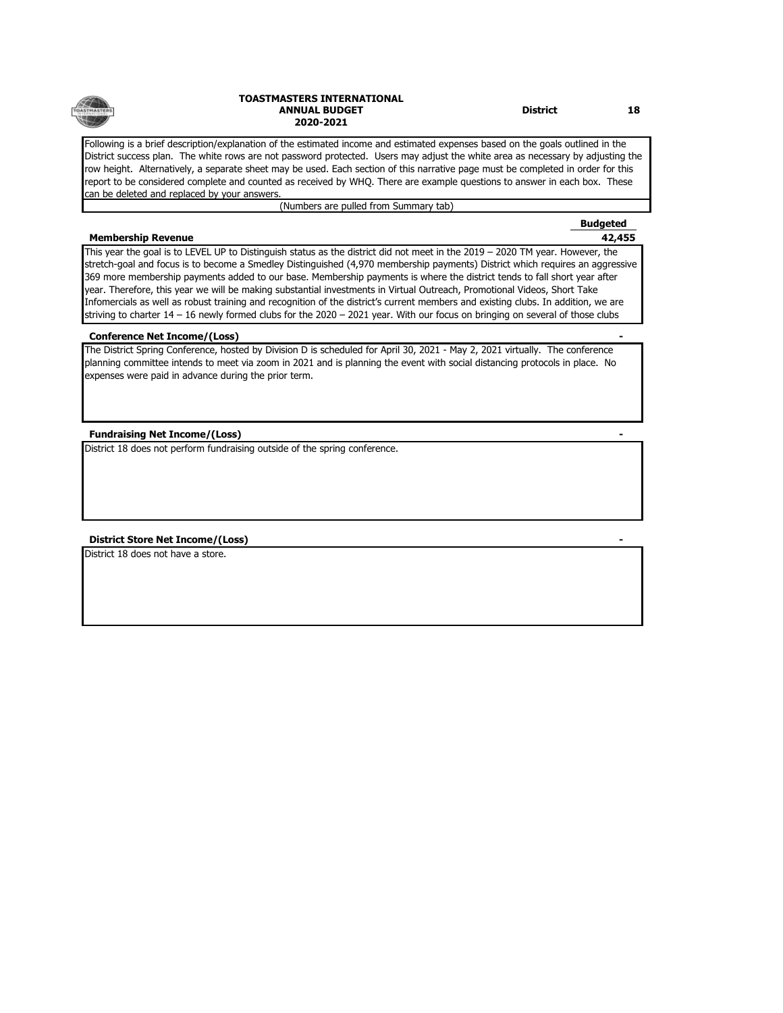

### **TOASTMASTERS INTERNATIONAL ANNUAL BUDGET District 18 2020-2021**

Following is a brief description/explanation of the estimated income and estimated expenses based on the goals outlined in the District success plan. The white rows are not password protected. Users may adjust the white area as necessary by adjusting the row height. Alternatively, a separate sheet may be used. Each section of this narrative page must be completed in order for this report to be considered complete and counted as received by WHQ. There are example questions to answer in each box. These can be deleted and replaced by your answers.

(Numbers are pulled from Summary tab)

## **Membership Revenue 42,455**

**Budgeted**

This year the goal is to LEVEL UP to Distinguish status as the district did not meet in the 2019 – 2020 TM year. However, the stretch-goal and focus is to become a Smedley Distinguished (4,970 membership payments) District which requires an aggressive 369 more membership payments added to our base. Membership payments is where the district tends to fall short year after year. Therefore, this year we will be making substantial investments in Virtual Outreach, Promotional Videos, Short Take Infomercials as well as robust training and recognition of the district's current members and existing clubs. In addition, we are striving to charter 14 – 16 newly formed clubs for the 2020 – 2021 year. With our focus on bringing on several of those clubs

## **Conference Net Income/(Loss)**  $\cdot$

The District Spring Conference, hosted by Division D is scheduled for April 30, 2021 - May 2, 2021 virtually. The conference planning committee intends to meet via zoom in 2021 and is planning the event with social distancing protocols in place. No expenses were paid in advance during the prior term.

## **Fundraising Net Income/(Loss)**

District 18 does not perform fundraising outside of the spring conference.

## **District Store Net Income/(Loss)**

District 18 does not have a store.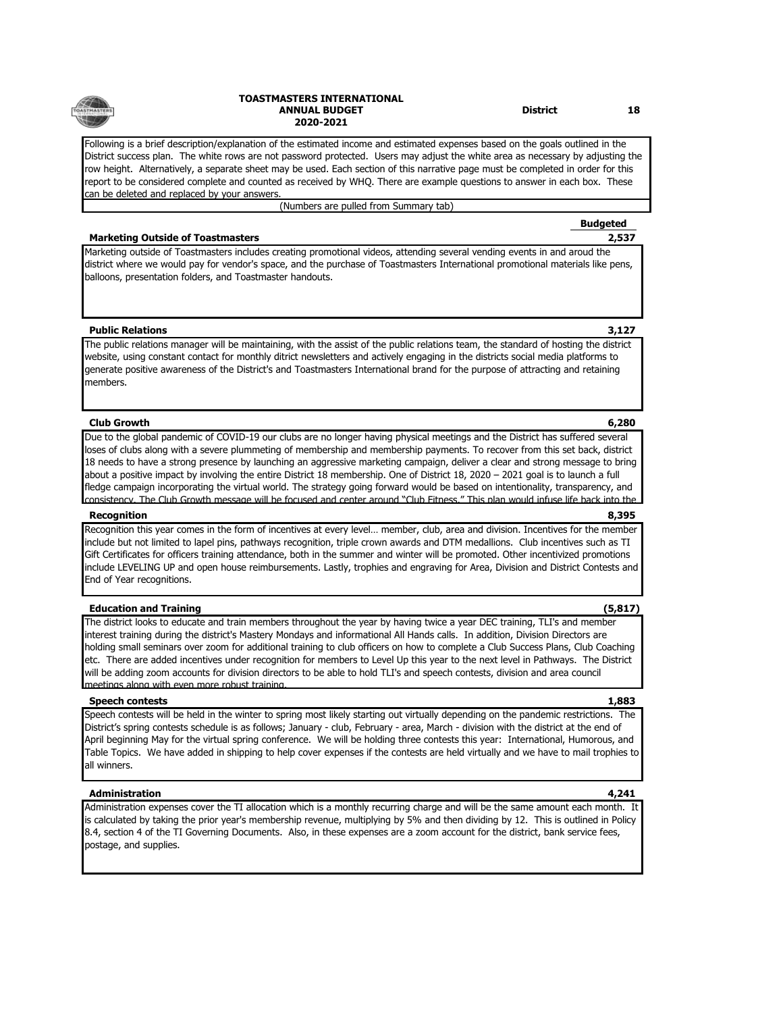# Following is a brief description/explanation of the estimated income and estimated expenses based on the goals outlined in the

District success plan. The white rows are not password protected. Users may adjust the white area as necessary by adjusting the row height. Alternatively, a separate sheet may be used. Each section of this narrative page must be completed in order for this report to be considered complete and counted as received by WHQ. There are example questions to answer in each box. These can be deleted and replaced by your answers.

(Numbers are pulled from Summary tab)

## **Marketing Outside of Toastmasters 2,537**

Marketing outside of Toastmasters includes creating promotional videos, attending several vending events in and aroud the district where we would pay for vendor's space, and the purchase of Toastmasters International promotional materials like pens, balloons, presentation folders, and Toastmaster handouts.

## **Public Relations 3,127**

The public relations manager will be maintaining, with the assist of the public relations team, the standard of hosting the district website, using constant contact for monthly ditrict newsletters and actively engaging in the districts social media platforms to generate positive awareness of the District's and Toastmasters International brand for the purpose of attracting and retaining members.

## **Club Growth 6,280**

Due to the global pandemic of COVID-19 our clubs are no longer having physical meetings and the District has suffered several loses of clubs along with a severe plummeting of membership and membership payments. To recover from this set back, district 18 needs to have a strong presence by launching an aggressive marketing campaign, deliver a clear and strong message to bring about a positive impact by involving the entire District 18 membership. One of District 18, 2020 – 2021 goal is to launch a full fledge campaign incorporating the virtual world. The strategy going forward would be based on intentionality, transparency, and The Club Growth message will be focused and center around "Club Fitness." This plan would infuse life back into the

## **Recognition 8,395**

Recognition this year comes in the form of incentives at every level… member, club, area and division. Incentives for the member include but not limited to lapel pins, pathways recognition, triple crown awards and DTM medallions. Club incentives such as TI Gift Certificates for officers training attendance, both in the summer and winter will be promoted. Other incentivized promotions include LEVELING UP and open house reimbursements. Lastly, trophies and engraving for Area, Division and District Contests and End of Year recognitions.

## **Education and Training (5,817)**

The district looks to educate and train members throughout the year by having twice a year DEC training, TLI's and member interest training during the district's Mastery Mondays and informational All Hands calls. In addition, Division Directors are holding small seminars over zoom for additional training to club officers on how to complete a Club Success Plans, Club Coaching etc. There are added incentives under recognition for members to Level Up this year to the next level in Pathways. The District will be adding zoom accounts for division directors to be able to hold TLI's and speech contests, division and area council meetings along with even more robust training.

## **Speech contests 1,883**

Speech contests will be held in the winter to spring most likely starting out virtually depending on the pandemic restrictions. The District's spring contests schedule is as follows; January - club, February - area, March - division with the district at the end of April beginning May for the virtual spring conference. We will be holding three contests this year: International, Humorous, and Table Topics. We have added in shipping to help cover expenses if the contests are held virtually and we have to mail trophies to all winners.

## **Administration 4,241**

Administration expenses cover the TI allocation which is a monthly recurring charge and will be the same amount each month. It is calculated by taking the prior year's membership revenue, multiplying by 5% and then dividing by 12. This is outlined in Policy 8.4, section 4 of the TI Governing Documents. Also, in these expenses are a zoom account for the district, bank service fees, postage, and supplies.

## **Budgeted**